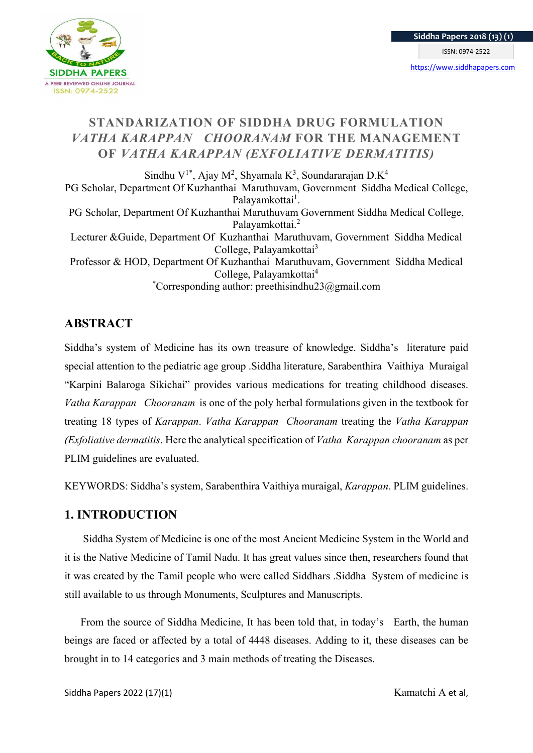

# STANDARIZATION OF SIDDHA DRUG FORMULATION VATHA KARAPPAN CHOORANAM FOR THE MANAGEMENT OF VATHA KARAPPAN (EXFOLIATIVE DERMATITIS)

Sindhu V<sup>1\*</sup>, Ajay M<sup>2</sup>, Shyamala K<sup>3</sup>, Soundararajan D.K<sup>4</sup> PG Scholar, Department Of Kuzhanthai Maruthuvam, Government Siddha Medical College, Palayamkottai<sup>1</sup>. PG Scholar, Department Of Kuzhanthai Maruthuvam Government Siddha Medical College, Palayamkottai.<sup>2</sup> Lecturer &Guide, Department Of Kuzhanthai Maruthuvam, Government Siddha Medical College, Palayamkottai<sup>3</sup> Professor & HOD, Department Of Kuzhanthai Maruthuvam, Government Siddha Medical College, Palayamkottai<sup>4</sup> \*Corresponding author: preethisindhu23@gmail.com

# **ABSTRACT**

Siddha's system of Medicine has its own treasure of knowledge. Siddha's literature paid special attention to the pediatric age group .Siddha literature, Sarabenthira Vaithiya Muraigal "Karpini Balaroga Sikichai" provides various medications for treating childhood diseases. Vatha Karappan Chooranam is one of the poly herbal formulations given in the textbook for treating 18 types of Karappan. Vatha Karappan Chooranam treating the Vatha Karappan (Exfoliative dermatitis. Here the analytical specification of Vatha Karappan chooranam as per PLIM guidelines are evaluated.

KEYWORDS: Siddha's system, Sarabenthira Vaithiya muraigal, Karappan. PLIM guidelines.

# 1. INTRODUCTION

 Siddha System of Medicine is one of the most Ancient Medicine System in the World and it is the Native Medicine of Tamil Nadu. It has great values since then, researchers found that it was created by the Tamil people who were called Siddhars .Siddha System of medicine is still available to us through Monuments, Sculptures and Manuscripts.

 From the source of Siddha Medicine, It has been told that, in today's Earth, the human beings are faced or affected by a total of 4448 diseases. Adding to it, these diseases can be brought in to 14 categories and 3 main methods of treating the Diseases.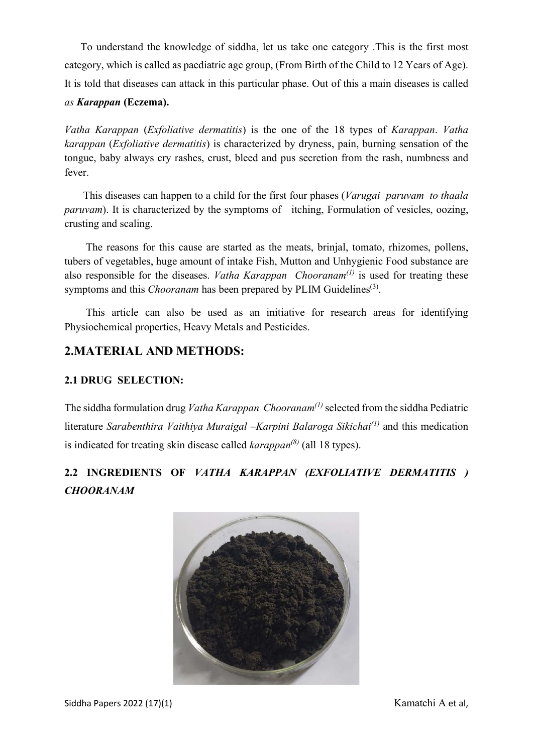To understand the knowledge of siddha, let us take one category .This is the first most category, which is called as paediatric age group, (From Birth of the Child to 12 Years of Age). It is told that diseases can attack in this particular phase. Out of this a main diseases is called as Karappan (Eczema).

Vatha Karappan (Exfoliative dermatitis) is the one of the 18 types of Karappan. Vatha karappan (Exfoliative dermatitis) is characterized by dryness, pain, burning sensation of the tongue, baby always cry rashes, crust, bleed and pus secretion from the rash, numbness and fever.

This diseases can happen to a child for the first four phases (*Varugai paruvam to thaala* paruvam). It is characterized by the symptoms of itching, Formulation of vesicles, oozing, crusting and scaling.

 The reasons for this cause are started as the meats, brinjal, tomato, rhizomes, pollens, tubers of vegetables, huge amount of intake Fish, Mutton and Unhygienic Food substance are also responsible for the diseases. *Vatha Karappan Chooranam<sup>(1)</sup>* is used for treating these symptoms and this *Chooranam* has been prepared by PLIM Guidelines<sup>(3)</sup>.

 This article can also be used as an initiative for research areas for identifying Physiochemical properties, Heavy Metals and Pesticides.

# 2.MATERIAL AND METHODS:

### 2.1 DRUG SELECTION:

The siddha formulation drug Vatha Karappan Chooranam<sup>(1)</sup> selected from the siddha Pediatric literature Sarabenthira Vaithiya Muraigal –Karpini Balaroga Sikichai<sup>(1)</sup> and this medication is indicated for treating skin disease called  $karappa^{(8)}$  (all 18 types).

# 2.2 INGREDIENTS OF VATHA KARAPPAN (EXFOLIATIVE DERMATITIS ) CHOORANAM

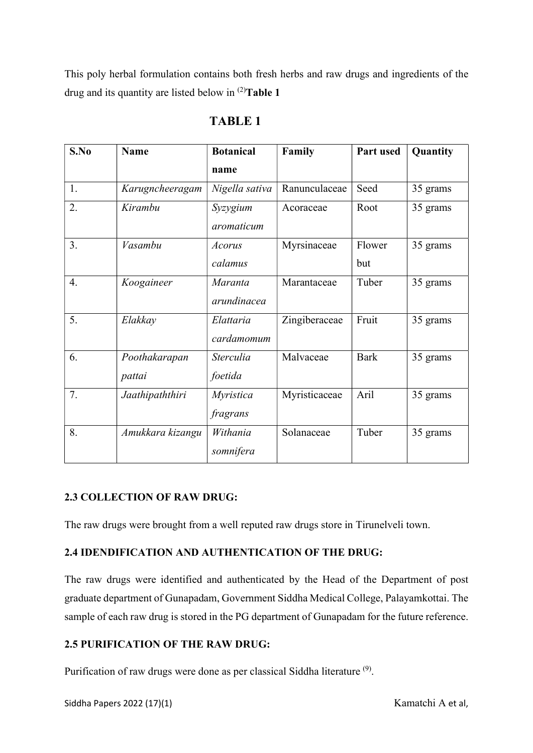This poly herbal formulation contains both fresh herbs and raw drugs and ingredients of the drug and its quantity are listed below in  $^{(2)}$ Table 1

| S.No | Name                    | <b>Botanical</b>              | Family        | Part used     | Quantity |
|------|-------------------------|-------------------------------|---------------|---------------|----------|
|      |                         | name                          |               |               |          |
| 1.   | Karugncheeragam         | Nigella sativa                | Ranunculaceae | Seed          | 35 grams |
| 2.   | Kirambu                 | Syzygium<br>aromaticum        | Acoraceae     | Root          | 35 grams |
| 3.   | Vasambu                 | <i>Acorus</i><br>calamus      | Myrsinaceae   | Flower<br>but | 35 grams |
| 4.   | Koogaineer              | <b>Maranta</b><br>arundinacea | Marantaceae   | Tuber         | 35 grams |
| 5.   | Elakkay                 | Elattaria<br>cardamomum       | Zingiberaceae | Fruit         | 35 grams |
| 6.   | Poothakarapan<br>pattai | <b>Sterculia</b><br>foetida   | Malvaceae     | <b>Bark</b>   | 35 grams |
| 7.   | Jaathipaththiri         | <i>Myristica</i><br>fragrans  | Myristicaceae | Aril          | 35 grams |
| 8.   | Amukkara kizangu        | Withania<br>somnifera         | Solanaceae    | Tuber         | 35 grams |

# TABLE 1

## 2.3 COLLECTION OF RAW DRUG:

The raw drugs were brought from a well reputed raw drugs store in Tirunelveli town.

## 2.4 IDENDIFICATION AND AUTHENTICATION OF THE DRUG:

The raw drugs were identified and authenticated by the Head of the Department of post graduate department of Gunapadam, Government Siddha Medical College, Palayamkottai. The sample of each raw drug is stored in the PG department of Gunapadam for the future reference.

## 2.5 PURIFICATION OF THE RAW DRUG:

Purification of raw drugs were done as per classical Siddha literature  $(9)$ .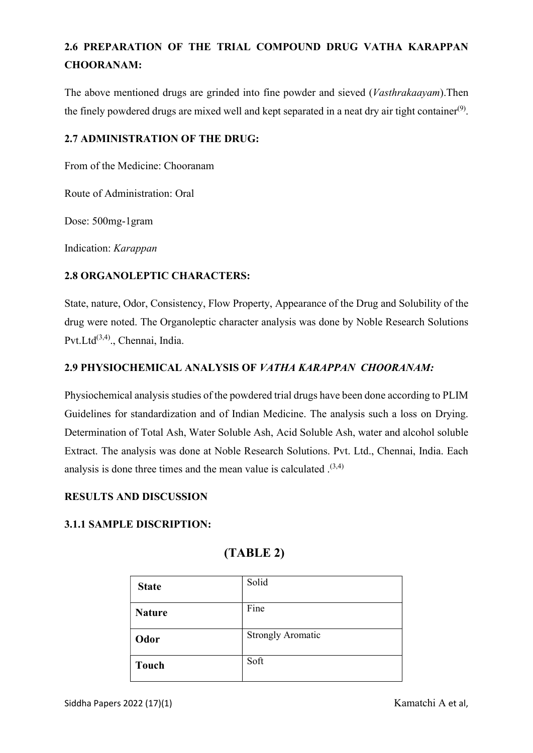# 2.6 PREPARATION OF THE TRIAL COMPOUND DRUG VATHA KARAPPAN CHOORANAM:

The above mentioned drugs are grinded into fine powder and sieved (Vasthrakaayam).Then the finely powdered drugs are mixed well and kept separated in a neat dry air tight container $(9)$ .

### 2.7 ADMINISTRATION OF THE DRUG:

From of the Medicine: Chooranam

Route of Administration: Oral

Dose: 500mg-1gram

Indication: Karappan

### 2.8 ORGANOLEPTIC CHARACTERS:

State, nature, Odor, Consistency, Flow Property, Appearance of the Drug and Solubility of the drug were noted. The Organoleptic character analysis was done by Noble Research Solutions Pvt.Ltd<sup>(3,4)</sup>., Chennai, India.

### 2.9 PHYSIOCHEMICAL ANALYSIS OF VATHA KARAPPAN CHOORANAM:

Physiochemical analysis studies of the powdered trial drugs have been done according to PLIM Guidelines for standardization and of Indian Medicine. The analysis such a loss on Drying. Determination of Total Ash, Water Soluble Ash, Acid Soluble Ash, water and alcohol soluble Extract. The analysis was done at Noble Research Solutions. Pvt. Ltd., Chennai, India. Each analysis is done three times and the mean value is calculated  $(3,4)$ 

### RESULTS AND DISCUSSION

### 3.1.1 SAMPLE DISCRIPTION:

# (TABLE 2)

| <b>State</b>  | Solid                    |
|---------------|--------------------------|
| <b>Nature</b> | Fine                     |
| Odor          | <b>Strongly Aromatic</b> |
| <b>Touch</b>  | Soft                     |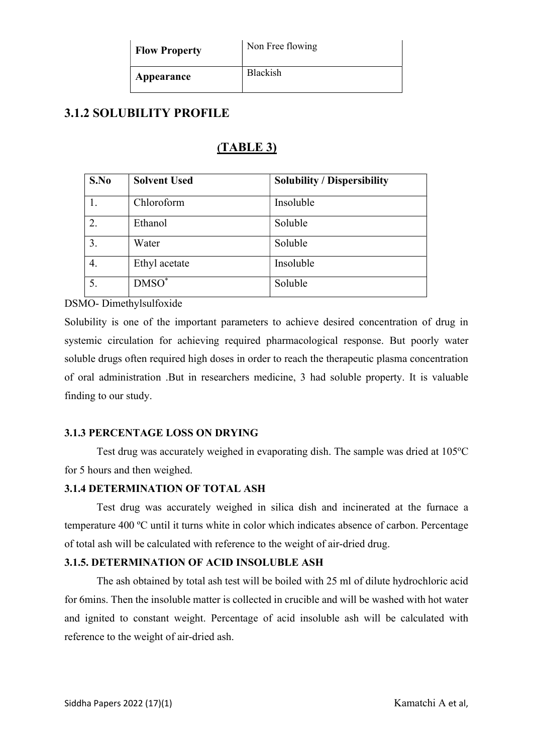| <b>Flow Property</b> | Non Free flowing |
|----------------------|------------------|
| Appearance           | <b>Blackish</b>  |

# 3.1.2 SOLUBILITY PROFILE

# (TABLE 3)

| S.No | <b>Solvent Used</b> | <b>Solubility / Dispersibility</b> |
|------|---------------------|------------------------------------|
|      | Chloroform          | Insoluble                          |
| 2.   | Ethanol             | Soluble                            |
| 3.   | Water               | Soluble                            |
| 4.   | Ethyl acetate       | Insoluble                          |
| 5.   | $DMSO^*$            | Soluble                            |

DSMO- Dimethylsulfoxide

Solubility is one of the important parameters to achieve desired concentration of drug in systemic circulation for achieving required pharmacological response. But poorly water soluble drugs often required high doses in order to reach the therapeutic plasma concentration of oral administration .But in researchers medicine, 3 had soluble property. It is valuable finding to our study.

### 3.1.3 PERCENTAGE LOSS ON DRYING

Test drug was accurately weighed in evaporating dish. The sample was dried at  $105^{\circ}$ C for 5 hours and then weighed.

### 3.1.4 DETERMINATION OF TOTAL ASH

Test drug was accurately weighed in silica dish and incinerated at the furnace a temperature 400 ºC until it turns white in color which indicates absence of carbon. Percentage of total ash will be calculated with reference to the weight of air-dried drug.

### 3.1.5. DETERMINATION OF ACID INSOLUBLE ASH

The ash obtained by total ash test will be boiled with 25 ml of dilute hydrochloric acid for 6mins. Then the insoluble matter is collected in crucible and will be washed with hot water and ignited to constant weight. Percentage of acid insoluble ash will be calculated with reference to the weight of air-dried ash.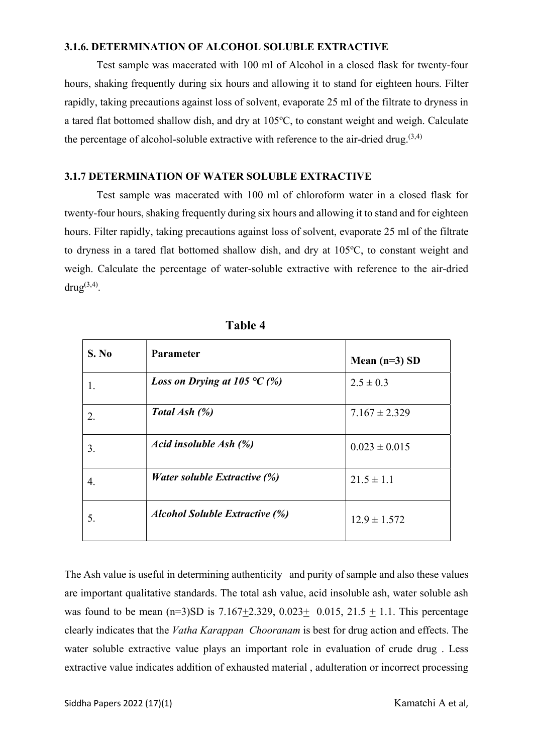### 3.1.6. DETERMINATION OF ALCOHOL SOLUBLE EXTRACTIVE

Test sample was macerated with 100 ml of Alcohol in a closed flask for twenty-four hours, shaking frequently during six hours and allowing it to stand for eighteen hours. Filter rapidly, taking precautions against loss of solvent, evaporate 25 ml of the filtrate to dryness in a tared flat bottomed shallow dish, and dry at 105ºC, to constant weight and weigh. Calculate the percentage of alcohol-soluble extractive with reference to the air-dried drug. $(3,4)$ 

#### 3.1.7 DETERMINATION OF WATER SOLUBLE EXTRACTIVE

Test sample was macerated with 100 ml of chloroform water in a closed flask for twenty-four hours, shaking frequently during six hours and allowing it to stand and for eighteen hours. Filter rapidly, taking precautions against loss of solvent, evaporate 25 ml of the filtrate to dryness in a tared flat bottomed shallow dish, and dry at 105ºC, to constant weight and weigh. Calculate the percentage of water-soluble extractive with reference to the air-dried  $\text{drug}^{(3,4)}$ .

| S. No | Parameter                                         | Mean $(n=3)$ SD   |
|-------|---------------------------------------------------|-------------------|
|       | <i>Loss on Drying at 105</i> $\degree$ C (%)      | $2.5 \pm 0.3$     |
| 2.    | Total Ash (%)                                     | $7.167 \pm 2.329$ |
| 3.    | Acid insoluble Ash (%)                            | $0.023 \pm 0.015$ |
| 4.    | <i>Water soluble Extractive <math>(\%)</math></i> | $21.5 \pm 1.1$    |
| 5.    | <b>Alcohol Soluble Extractive (%)</b>             | $12.9 \pm 1.572$  |

Table 4

The Ash value is useful in determining authenticity and purity of sample and also these values are important qualitative standards. The total ash value, acid insoluble ash, water soluble ash was found to be mean  $(n=3)SD$  is 7.167+2.329, 0.023+ 0.015, 21.5 + 1.1. This percentage clearly indicates that the Vatha Karappan Chooranam is best for drug action and effects. The water soluble extractive value plays an important role in evaluation of crude drug . Less extractive value indicates addition of exhausted material , adulteration or incorrect processing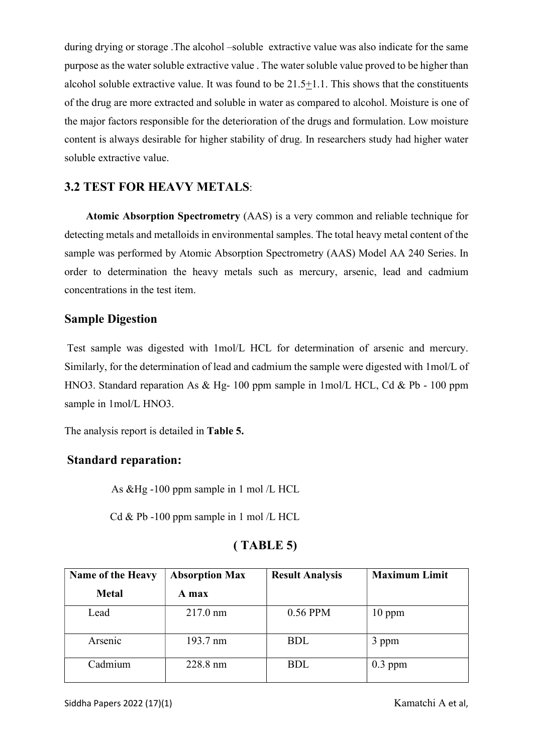during drying or storage .The alcohol –soluble extractive value was also indicate for the same purpose as the water soluble extractive value . The water soluble value proved to be higher than alcohol soluble extractive value. It was found to be 21.5+1.1. This shows that the constituents of the drug are more extracted and soluble in water as compared to alcohol. Moisture is one of the major factors responsible for the deterioration of the drugs and formulation. Low moisture content is always desirable for higher stability of drug. In researchers study had higher water soluble extractive value.

## 3.2 TEST FOR HEAVY METALS:

 Atomic Absorption Spectrometry (AAS) is a very common and reliable technique for detecting metals and metalloids in environmental samples. The total heavy metal content of the sample was performed by Atomic Absorption Spectrometry (AAS) Model AA 240 Series. In order to determination the heavy metals such as mercury, arsenic, lead and cadmium concentrations in the test item.

## Sample Digestion

 Test sample was digested with 1mol/L HCL for determination of arsenic and mercury. Similarly, for the determination of lead and cadmium the sample were digested with 1mol/L of HNO3. Standard reparation As & Hg- 100 ppm sample in 1mol/L HCL, Cd & Pb - 100 ppm sample in 1mol/L HNO3.

The analysis report is detailed in Table 5.

## Standard reparation:

As &Hg -100 ppm sample in 1 mol /L HCL

Cd & Pb -100 ppm sample in 1 mol  $/L$  HCL

## ( TABLE 5)

| <b>Name of the Heavy</b> | <b>Absorption Max</b> | <b>Result Analysis</b> | <b>Maximum Limit</b> |
|--------------------------|-----------------------|------------------------|----------------------|
| <b>Metal</b>             | A max                 |                        |                      |
| Lead                     | $217.0 \text{ nm}$    | 0.56 PPM               | $10$ ppm             |
| Arsenic                  | 193.7 nm              | <b>BDL</b>             | 3 ppm                |
| Cadmium                  | 228.8 nm              | <b>BDL</b>             | $0.3$ ppm            |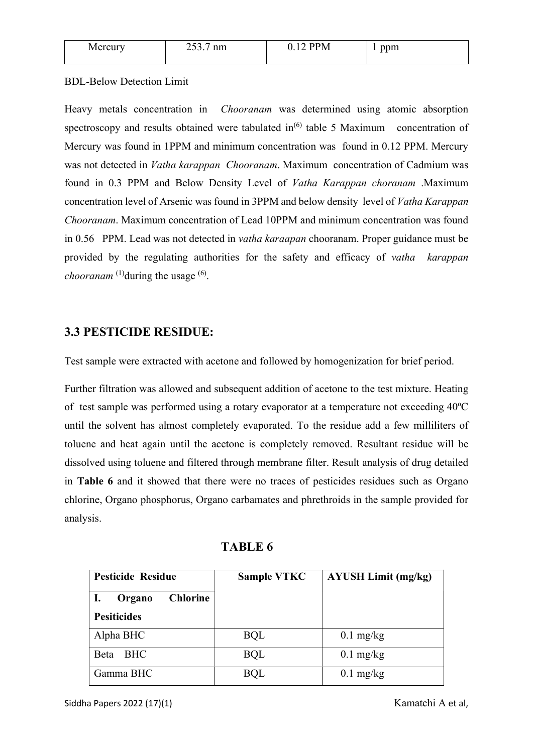| Mei<br>`vui | $\cap$ $\cap$<br>$\sim$<br>шц<br>____ | 'N | $\cdots$<br>1111<br><br>. . |
|-------------|---------------------------------------|----|-----------------------------|
|             |                                       |    |                             |

### BDL-Below Detection Limit

Heavy metals concentration in Chooranam was determined using atomic absorption spectroscopy and results obtained were tabulated in<sup>(6)</sup> table 5 Maximum concentration of Mercury was found in 1PPM and minimum concentration was found in 0.12 PPM. Mercury was not detected in *Vatha karappan Chooranam*. Maximum concentration of Cadmium was found in 0.3 PPM and Below Density Level of Vatha Karappan choranam .Maximum concentration level of Arsenic was found in 3PPM and below density level of Vatha Karappan Chooranam. Maximum concentration of Lead 10PPM and minimum concentration was found in 0.56 PPM. Lead was not detected in vatha karaapan chooranam. Proper guidance must be provided by the regulating authorities for the safety and efficacy of vatha karappan *chooranam*  $^{(1)}$ during the usage  $^{(6)}$ .

## 3.3 PESTICIDE RESIDUE:

Test sample were extracted with acetone and followed by homogenization for brief period.

Further filtration was allowed and subsequent addition of acetone to the test mixture. Heating of test sample was performed using a rotary evaporator at a temperature not exceeding 40ºC until the solvent has almost completely evaporated. To the residue add a few milliliters of toluene and heat again until the acetone is completely removed. Resultant residue will be dissolved using toluene and filtered through membrane filter. Result analysis of drug detailed in Table 6 and it showed that there were no traces of pesticides residues such as Organo chlorine, Organo phosphorus, Organo carbamates and phrethroids in the sample provided for analysis.

| <b>Pesticide Residue</b>  | <b>Sample VTKC</b> | <b>AYUSH Limit (mg/kg)</b> |
|---------------------------|--------------------|----------------------------|
| <b>Chlorine</b><br>Organo |                    |                            |
| <b>Pesiticides</b>        |                    |                            |
| Alpha BHC                 | <b>BQL</b>         | $0.1 \text{ mg/kg}$        |
| Beta<br><b>BHC</b>        | <b>BQL</b>         | $0.1 \text{ mg/kg}$        |
| Gamma BHC                 | <b>BQL</b>         | $0.1 \text{ mg/kg}$        |

TABLE 6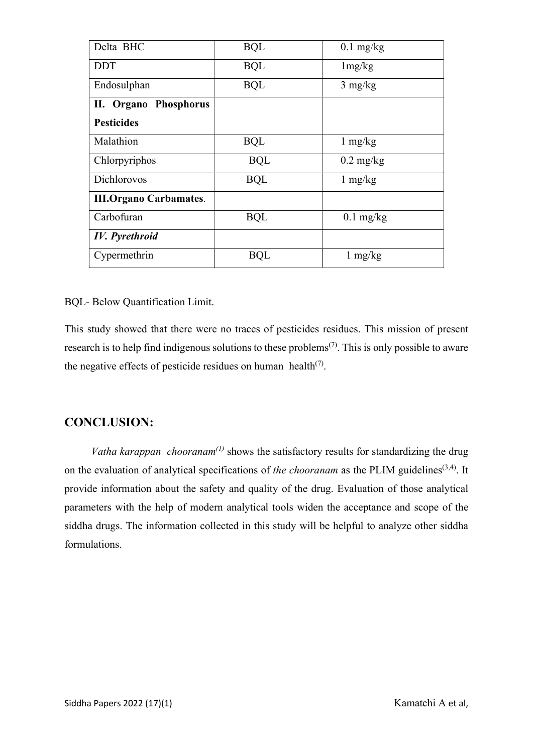| Delta BHC                     | <b>BQL</b> | $0.1$ mg/kg         |
|-------------------------------|------------|---------------------|
| <b>DDT</b>                    | <b>BQL</b> | 1mg/kg              |
| Endosulphan                   | <b>BQL</b> | $3 \text{ mg/kg}$   |
| II. Organo Phosphorus         |            |                     |
| <b>Pesticides</b>             |            |                     |
| Malathion                     | <b>BQL</b> | $1 \text{ mg/kg}$   |
| Chlorpyriphos                 | <b>BQL</b> | $0.2 \text{ mg/kg}$ |
| Dichlorovos                   | <b>BQL</b> | $1 \text{ mg/kg}$   |
| <b>III.Organo Carbamates.</b> |            |                     |
| Carbofuran                    | <b>BQL</b> | $0.1$ mg/kg         |
| <b>IV.</b> Pyrethroid         |            |                     |
| Cypermethrin                  | <b>BQL</b> | $1 \text{ mg/kg}$   |

### BQL- Below Quantification Limit.

This study showed that there were no traces of pesticides residues. This mission of present research is to help find indigenous solutions to these problems<sup>(7)</sup>. This is only possible to aware the negative effects of pesticide residues on human health<sup> $(7)$ </sup>.

# CONCLUSION:

Vatha karappan chooranam<sup>(1)</sup> shows the satisfactory results for standardizing the drug on the evaluation of analytical specifications of the chooranam as the PLIM guidelines<sup>(3,4)</sup>. It provide information about the safety and quality of the drug. Evaluation of those analytical parameters with the help of modern analytical tools widen the acceptance and scope of the siddha drugs. The information collected in this study will be helpful to analyze other siddha formulations.